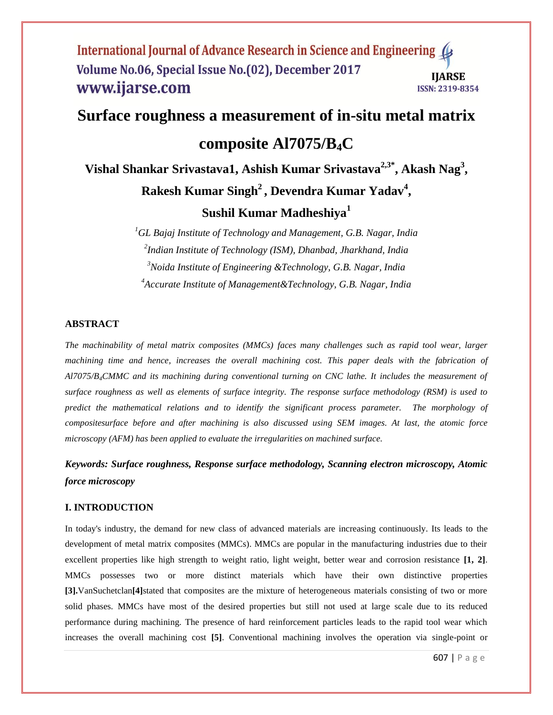# **Surface roughness a measurement of in-situ metal matrix**

## **composite Al7075/B4C**

**Vishal Shankar Srivastava1, Ashish Kumar Srivastava2,3\* , Akash Nag<sup>3</sup> , Rakesh Kumar Singh<sup>2</sup> , Devendra Kumar Yadav<sup>4</sup> ,** 

## **Sushil Kumar Madheshiya<sup>1</sup>**

*GL Bajaj Institute of Technology and Management, G.B. Nagar, India Indian Institute of Technology (ISM), Dhanbad, Jharkhand, India Noida Institute of Engineering &Technology, G.B. Nagar, India Accurate Institute of Management&Technology, G.B. Nagar, India*

### **ABSTRACT**

*The machinability of metal matrix composites (MMCs) faces many challenges such as rapid tool wear, larger machining time and hence, increases the overall machining cost. This paper deals with the fabrication of Al7075/B4CMMC and its machining during conventional turning on CNC lathe. It includes the measurement of surface roughness as well as elements of surface integrity. The response surface methodology (RSM) is used to predict the mathematical relations and to identify the significant process parameter. The morphology of compositesurface before and after machining is also discussed using SEM images. At last, the atomic force microscopy (AFM) has been applied to evaluate the irregularities on machined surface.* 

## *Keywords: Surface roughness, Response surface methodology, Scanning electron microscopy, Atomic force microscopy*

## **I. INTRODUCTION**

In today's industry, the demand for new class of advanced materials are increasing continuously. Its leads to the development of metal matrix composites (MMCs). MMCs are popular in the manufacturing industries due to their excellent properties like high strength to weight ratio, light weight, better wear and corrosion resistance **[1, 2]**. MMCs possesses two or more distinct materials which have their own distinctive properties **[3].**VanSuchetclan**[4]**stated that composites are the mixture of heterogeneous materials consisting of two or more solid phases. MMCs have most of the desired properties but still not used at large scale due to its reduced performance during machining. The presence of hard reinforcement particles leads to the rapid tool wear which increases the overall machining cost **[5]**. Conventional machining involves the operation via single-point or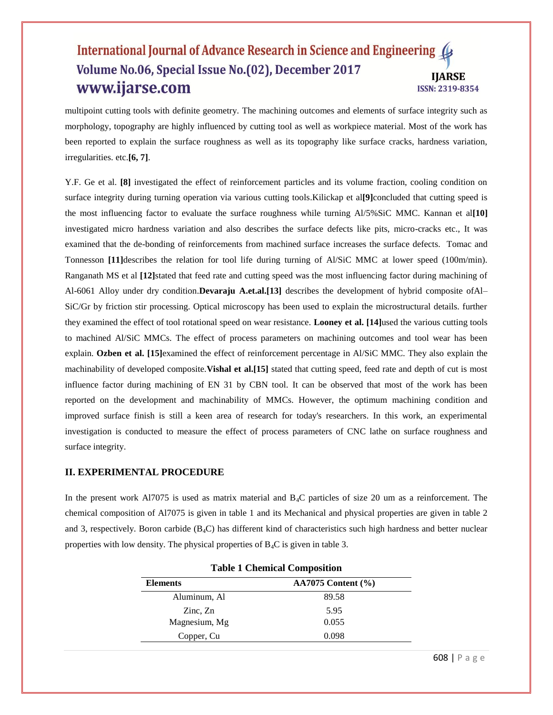multipoint cutting tools with definite geometry. The machining outcomes and elements of surface integrity such as morphology, topography are highly influenced by cutting tool as well as workpiece material. Most of the work has been reported to explain the surface roughness as well as its topography like surface cracks, hardness variation, irregularities. etc.**[6, 7]**.

Y.F. Ge et al. **[8]** investigated the effect of reinforcement particles and its volume fraction, cooling condition on surface integrity during turning operation via various cutting tools.Kilickap et al**[9]**concluded that cutting speed is the most influencing factor to evaluate the surface roughness while turning Al/5%SiC MMC. Kannan et al**[10]** investigated micro hardness variation and also describes the surface defects like pits, micro-cracks etc., It was examined that the de-bonding of reinforcements from machined surface increases the surface defects. Tomac and Tonnesson **[11]**describes the relation for tool life during turning of Al/SiC MMC at lower speed (100m/min). Ranganath MS et al **[12]**stated that feed rate and cutting speed was the most influencing factor during machining of Al-6061 Alloy under dry condition.**Devaraju A.et.al.[13]** describes the development of hybrid composite ofAl– SiC/Gr by friction stir processing. Optical microscopy has been used to explain the microstructural details. further they examined the effect of tool rotational speed on wear resistance. **Looney et al. [14]**used the various cutting tools to machined Al/SiC MMCs. The effect of process parameters on machining outcomes and tool wear has been explain. **Ozben et al. [15]**examined the effect of reinforcement percentage in Al/SiC MMC. They also explain the machinability of developed composite. **Vishal et al.**[15] stated that cutting speed, feed rate and depth of cut is most influence factor during machining of EN 31 by CBN tool. It can be observed that most of the work has been reported on the development and machinability of MMCs. However, the optimum machining condition and improved surface finish is still a keen area of research for today's researchers. In this work, an experimental investigation is conducted to measure the effect of process parameters of CNC lathe on surface roughness and surface integrity.

### **II. EXPERIMENTAL PROCEDURE**

In the present work Al7075 is used as matrix material and  $B_4C$  particles of size 20 um as a reinforcement. The chemical composition of Al7075 is given in table 1 and its Mechanical and physical properties are given in table 2 and 3, respectively. Boron carbide ( $B_4C$ ) has different kind of characteristics such high hardness and better nuclear properties with low density. The physical properties of  $B_4C$  is given in table 3.

| Table 1 Chemical Composition                      |                          |  |  |
|---------------------------------------------------|--------------------------|--|--|
| <b>Elements</b>                                   | $AA7075$ Content $(\% )$ |  |  |
| Aluminum, Al                                      | 89.58                    |  |  |
| $\overline{\text{Zinc}}$ , $\overline{\text{Zn}}$ | 5.95                     |  |  |
| Magnesium, Mg                                     | 0.055                    |  |  |
| Copper, Cu                                        | 0.098                    |  |  |
|                                                   |                          |  |  |

|  | <b>Table 1 Chemical Composition</b> |  |  |
|--|-------------------------------------|--|--|
|--|-------------------------------------|--|--|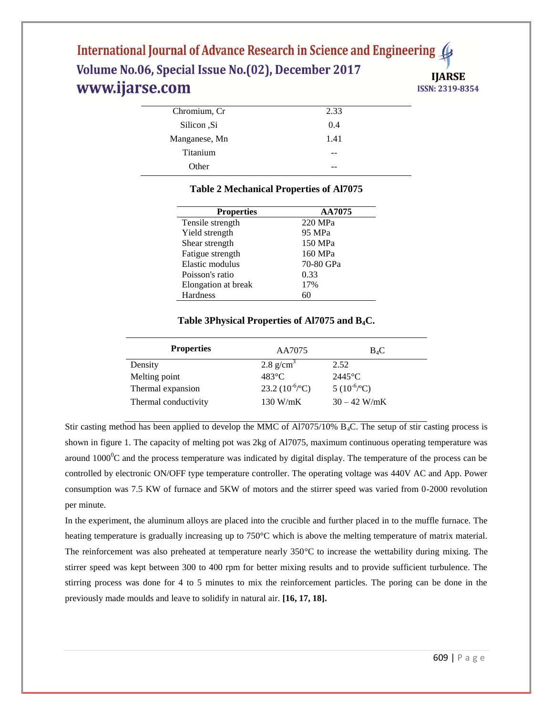| 2.33 |  |
|------|--|
| 0.4  |  |
| 1.41 |  |
| --   |  |
|      |  |
|      |  |

## **Table 2 Mechanical Properties of Al7075**

| <b>Properties</b>   | AA7075    |
|---------------------|-----------|
| Tensile strength    | 220 MPa   |
| Yield strength      | 95 MPa    |
| Shear strength      | 150 MPa   |
| Fatigue strength    | 160 MPa   |
| Elastic modulus     | 70-80 GPa |
| Poisson's ratio     | 0.33      |
| Elongation at break | 17%       |
| <b>Hardness</b>     | 60        |

## **Table 3Physical Properties of Al7075 and B4C.**

| <b>Properties</b>    | AA7075                     | $B_4C$                  |
|----------------------|----------------------------|-------------------------|
| Density              | 2.8 $g/cm3$                | 2.52                    |
| Melting point        | $483^{\circ}$ C            | $2445^{\circ}$ C        |
| Thermal expansion    | 23.2 $(10^{-6}/^{\circ}C)$ | 5 $(10^{-6}/^{\circ}C)$ |
| Thermal conductivity | 130 W/mK                   | $30 - 42$ W/mK          |

Stir casting method has been applied to develop the MMC of Al7075/10% B4C. The setup of stir casting process is shown in figure 1. The capacity of melting pot was 2kg of Al7075, maximum continuous operating temperature was around  $1000^{\circ}$ C and the process temperature was indicated by digital display. The temperature of the process can be controlled by electronic ON/OFF type temperature controller. The operating voltage was 440V AC and App. Power consumption was 7.5 KW of furnace and 5KW of motors and the stirrer speed was varied from 0-2000 revolution per minute.

In the experiment, the aluminum alloys are placed into the crucible and further placed in to the muffle furnace. The heating temperature is gradually increasing up to 750°C which is above the melting temperature of matrix material. The reinforcement was also preheated at temperature nearly 350°C to increase the wettability during mixing. The stirrer speed was kept between 300 to 400 rpm for better mixing results and to provide sufficient turbulence. The stirring process was done for 4 to 5 minutes to mix the reinforcement particles. The poring can be done in the previously made moulds and leave to solidify in natural air. **[16, 17, 18].**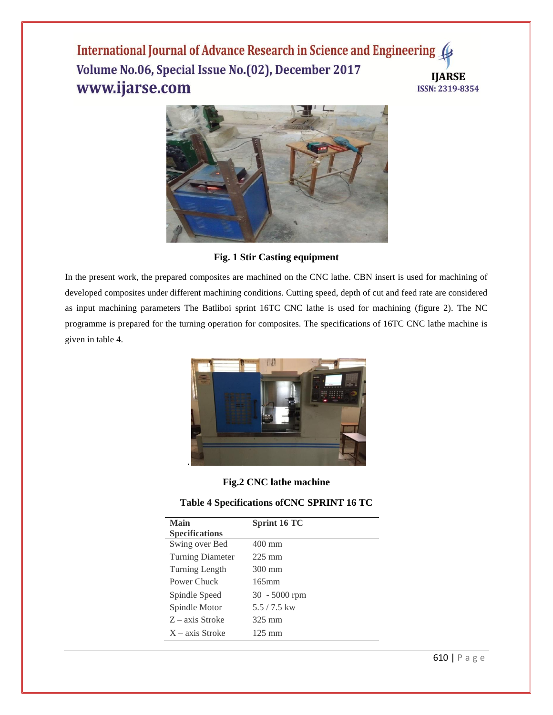

**Fig. 1 Stir Casting equipment**

In the present work, the prepared composites are machined on the CNC lathe. CBN insert is used for machining of developed composites under different machining conditions. Cutting speed, depth of cut and feed rate are considered as input machining parameters The Batliboi sprint 16TC CNC lathe is used for machining (figure 2). The NC programme is prepared for the turning operation for composites. The specifications of 16TC CNC lathe machine is given in table 4.



## **Fig.2 CNC lathe machine**

## **Table 4 Specifications ofCNC SPRINT 16 TC**

| <b>Main</b>             | Sprint 16 TC     |
|-------------------------|------------------|
| <b>Specifications</b>   |                  |
| Swing over Bed          | $400 \text{ mm}$ |
| <b>Turning Diameter</b> | $225 \text{ mm}$ |
| Turning Length          | 300 mm           |
| Power Chuck             | $165$ mm         |
| Spindle Speed           | $30 - 5000$ rpm  |
| Spindle Motor           | $5.5/7.5$ kw     |
| $Z - axis$ Stroke       | 325 mm           |
| $X - axis$ Stroke       | $125 \text{ mm}$ |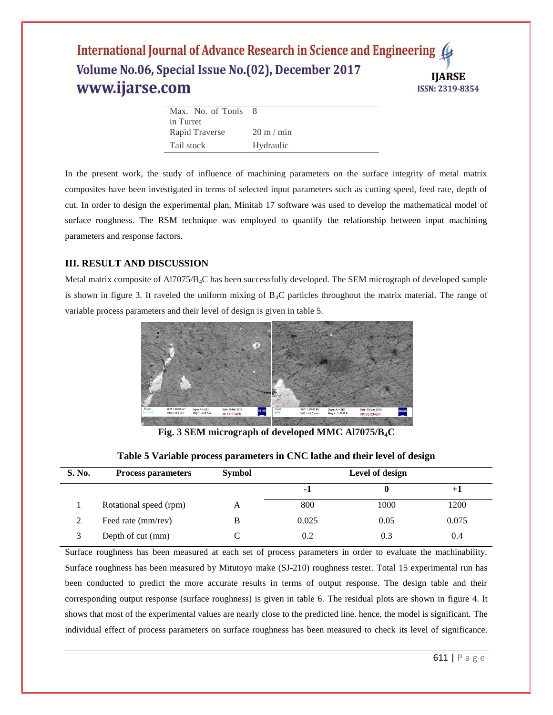| Max. No. of Tools | - 8                         |
|-------------------|-----------------------------|
| in Turret         |                             |
| Rapid Traverse    | $20 \text{ m} / \text{min}$ |
| Tail stock        | Hydraulic                   |

In the present work, the study of influence of machining parameters on the surface integrity of metal matrix composites have been investigated in terms of selected input parameters such as cutting speed, feed rate, depth of cut. In order to design the experimental plan, Minitab 17 software was used to develop the mathematical model of surface roughness. The RSM technique was employed to quantify the relationship between input machining parameters and response factors.

## **III. RESULT AND DISCUSSION**

Metal matrix composite of Al7075/B4C has been successfully developed. The SEM micrograph of developed sample is shown in figure 3. It raveled the uniform mixing of  $B_4C$  particles throughout the matrix material. The range of variable process parameters and their level of design is given in table 5.



**Fig. 3 SEM micrograph of developed MMC Al7075/B4C**

| <b>S. No.</b> | <b>Process parameters</b> | <b>Symbol</b> | Level of design |      |       |
|---------------|---------------------------|---------------|-----------------|------|-------|
|               |                           |               | -1              |      | $+1$  |
|               | Rotational speed (rpm)    | A             | 800             | 1000 | 1200  |
|               | Feed rate (mm/rev)        | В             | 0.025           | 0.05 | 0.075 |
|               | Depth of cut (mm)         |               | 0.2             | 0.3  | 0.4   |

#### **Table 5 Variable process parameters in CNC lathe and their level of design**

Surface roughness has been measured at each set of process parameters in order to evaluate the machinability. Surface roughness has been measured by Mitutoyo make (SJ-210) roughness tester. Total 15 experimental run has been conducted to predict the more accurate results in terms of output response. The design table and their corresponding output response (surface roughness) is given in table 6. The residual plots are shown in figure 4. It shows that most of the experimental values are nearly close to the predicted line. hence, the model is significant. The individual effect of process parameters on surface roughness has been measured to check its level of significance.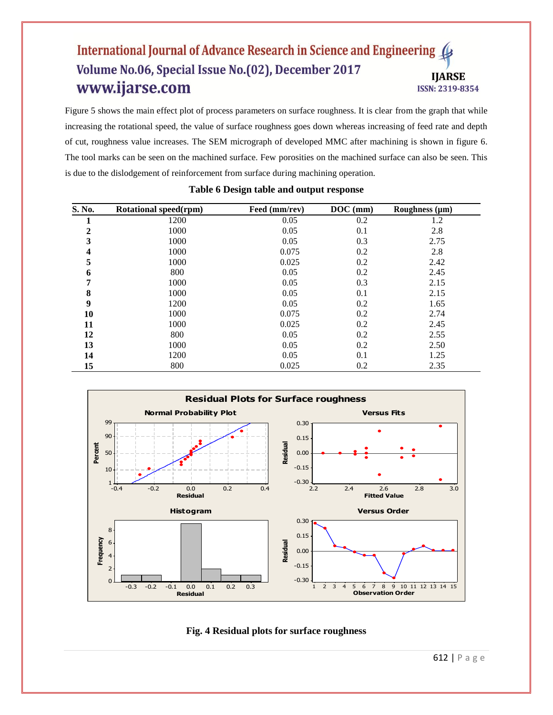Figure 5 shows the main effect plot of process parameters on surface roughness. It is clear from the graph that while increasing the rotational speed, the value of surface roughness goes down whereas increasing of feed rate and depth of cut, roughness value increases. The SEM micrograph of developed MMC after machining is shown in figure 6. The tool marks can be seen on the machined surface. Few porosities on the machined surface can also be seen. This is due to the dislodgement of reinforcement from surface during machining operation.

| S. No.           | Rotational speed(rpm) | Feed (mm/rev) | $DOC$ (mm) | Roughness $(\mu m)$ |
|------------------|-----------------------|---------------|------------|---------------------|
| л                | 1200                  | 0.05          | 0.2        | 1.2                 |
| $\overline{2}$   | 1000                  | 0.05          | 0.1        | 2.8                 |
| 3                | 1000                  | 0.05          | 0.3        | 2.75                |
| 4                | 1000                  | 0.075         | 0.2        | 2.8                 |
| 5                | 1000                  | 0.025         | 0.2        | 2.42                |
| 6                | 800                   | 0.05          | 0.2        | 2.45                |
| 7                | 1000                  | 0.05          | 0.3        | 2.15                |
| 8                | 1000                  | 0.05          | 0.1        | 2.15                |
| $\boldsymbol{9}$ | 1200                  | 0.05          | 0.2        | 1.65                |
| 10               | 1000                  | 0.075         | 0.2        | 2.74                |
| 11               | 1000                  | 0.025         | 0.2        | 2.45                |
| 12               | 800                   | 0.05          | 0.2        | 2.55                |
| 13               | 1000                  | 0.05          | 0.2        | 2.50                |
| 14               | 1200                  | 0.05          | 0.1        | 1.25                |
| 15               | 800                   | 0.025         | 0.2        | 2.35                |

#### **Table 6 Design table and output response**





612 | P a g e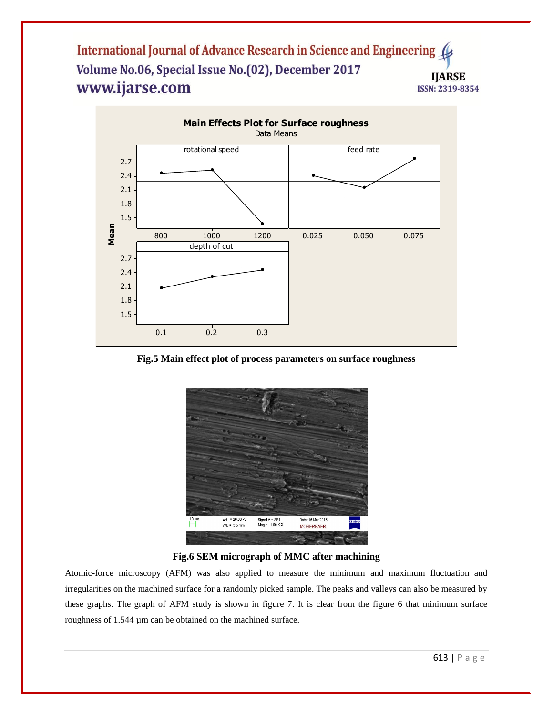

**Fig.5 Main effect plot of process parameters on surface roughness**



**Fig.6 SEM micrograph of MMC after machining**

Atomic-force microscopy (AFM) was also applied to measure the minimum and maximum fluctuation and irregularities on the machined surface for a randomly picked sample. The peaks and valleys can also be measured by these graphs. The graph of AFM study is shown in figure 7. It is clear from the figure 6 that minimum surface roughness of 1.544 µm can be obtained on the machined surface.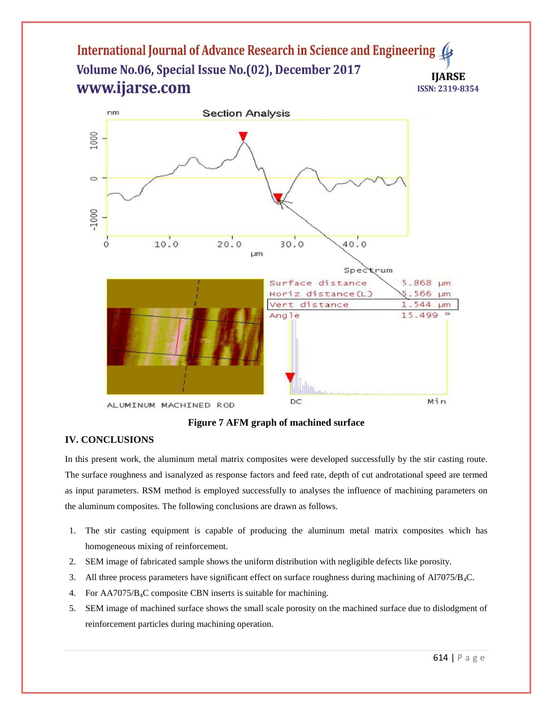

**Figure 7 AFM graph of machined surface**

## **IV. CONCLUSIONS**

In this present work, the aluminum metal matrix composites were developed successfully by the stir casting route. The surface roughness and isanalyzed as response factors and feed rate, depth of cut androtational speed are termed as input parameters. RSM method is employed successfully to analyses the influence of machining parameters on the aluminum composites. The following conclusions are drawn as follows.

- 1. The stir casting equipment is capable of producing the aluminum metal matrix composites which has homogeneous mixing of reinforcement.
- 2. SEM image of fabricated sample shows the uniform distribution with negligible defects like porosity.
- 3. All three process parameters have significant effect on surface roughness during machining of Al7075/B4C.
- 4. For AA7075/B4C composite CBN inserts is suitable for machining.
- 5. SEM image of machined surface shows the small scale porosity on the machined surface due to dislodgment of reinforcement particles during machining operation.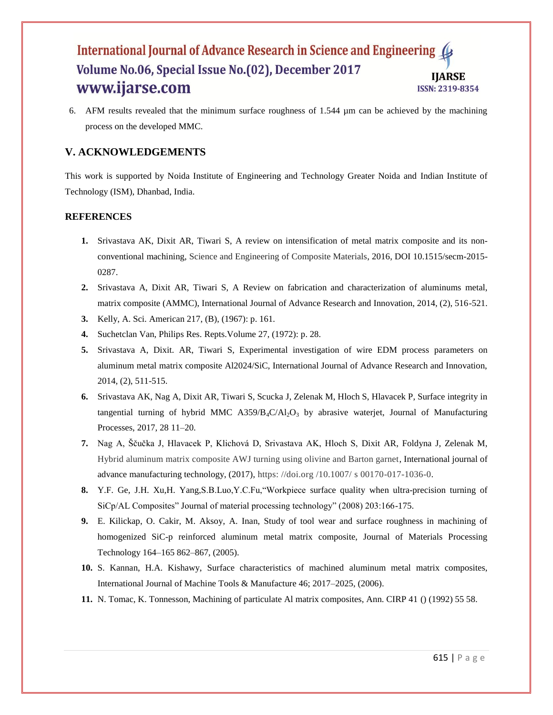6. AFM results revealed that the minimum surface roughness of 1.544 µm can be achieved by the machining process on the developed MMC.

## **V. ACKNOWLEDGEMENTS**

This work is supported by Noida Institute of Engineering and Technology Greater Noida and Indian Institute of Technology (ISM), Dhanbad, India.

## **REFERENCES**

- **1.** Srivastava AK, Dixit AR, Tiwari S, A review on intensification of metal matrix composite and its nonconventional machining, Science and Engineering of Composite Materials, 2016, DOI 10.1515/secm-2015- 0287.
- **2.** Srivastava A, Dixit AR, Tiwari S, A Review on fabrication and characterization of aluminums metal, matrix composite (AMMC), International Journal of Advance Research and Innovation, 2014, (2), 516-521.
- **3.** Kelly, A. Sci. American 217, (B), (1967): p. 161.
- **4.** Suchetclan Van, Philips Res. Repts.Volume 27, (1972): p. 28.
- **5.** Srivastava A, Dixit. AR, Tiwari S, Experimental investigation of wire EDM process parameters on aluminum metal matrix composite Al2024/SiC, International Journal of Advance Research and Innovation, 2014, (2), 511-515.
- **6.** Srivastava AK, Nag A, Dixit AR, Tiwari S, Scucka J, Zelenak M, Hloch S, Hlavacek P, Surface integrity in tangential turning of hybrid MMC A359/B<sub>4</sub>C/Al<sub>2</sub>O<sub>3</sub> by abrasive waterjet, Journal of Manufacturing Processes, 2017, 28 11–20.
- **7.** Nag A, Ščučka J, Hlavacek P, Klichová D, Srivastava AK, Hloch S, Dixit AR, Foldyna J, Zelenak M, Hybrid aluminum matrix composite AWJ turning using olivine and Barton garnet, International journal of advance manufacturing technology, (2017), https: //doi.org /10.1007/ s 00170-017-1036-0.
- **8.** Y.F. Ge, J.H. Xu,H. Yang,S.B.Luo,Y.C.Fu,"Workpiece surface quality when ultra-precision turning of SiCp/AL Composites" Journal of material processing technology" (2008) 203:166-175.
- **9.** E. Kilickap, O. Cakir, M. Aksoy, A. Inan, Study of tool wear and surface roughness in machining of homogenized SiC-p reinforced aluminum metal matrix composite, Journal of Materials Processing Technology 164–165 862–867, (2005).
- **10.** S. Kannan, H.A. Kishawy, Surface characteristics of machined aluminum metal matrix composites, International Journal of Machine Tools & Manufacture 46; 2017–2025, (2006).
- **11.** N. Tomac, K. Tonnesson, Machining of particulate Al matrix composites, Ann. CIRP 41 () (1992) 55 58.